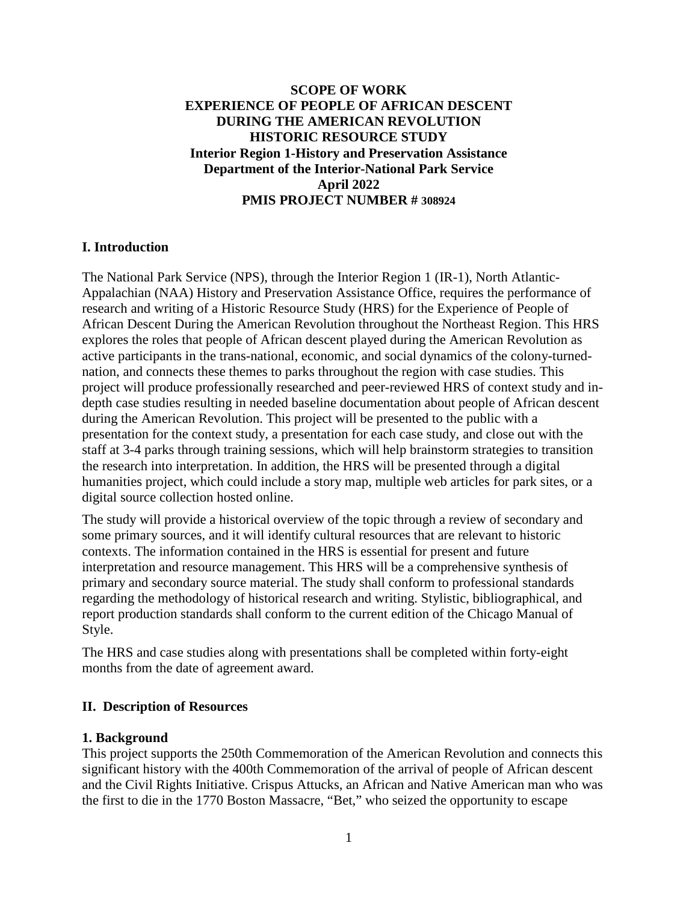## **SCOPE OF WORK EXPERIENCE OF PEOPLE OF AFRICAN DESCENT DURING THE AMERICAN REVOLUTION HISTORIC RESOURCE STUDY Interior Region 1-History and Preservation Assistance Department of the Interior-National Park Service April 2022 PMIS PROJECT NUMBER # 308924**

### **I. Introduction**

The National Park Service (NPS), through the Interior Region 1 (IR-1), North Atlantic-Appalachian (NAA) History and Preservation Assistance Office, requires the performance of research and writing of a Historic Resource Study (HRS) for the Experience of People of African Descent During the American Revolution throughout the Northeast Region. This HRS explores the roles that people of African descent played during the American Revolution as active participants in the trans-national, economic, and social dynamics of the colony-turnednation, and connects these themes to parks throughout the region with case studies. This project will produce professionally researched and peer-reviewed HRS of context study and indepth case studies resulting in needed baseline documentation about people of African descent during the American Revolution. This project will be presented to the public with a presentation for the context study, a presentation for each case study, and close out with the staff at 3-4 parks through training sessions, which will help brainstorm strategies to transition the research into interpretation. In addition, the HRS will be presented through a digital humanities project, which could include a story map, multiple web articles for park sites, or a digital source collection hosted online.

The study will provide a historical overview of the topic through a review of secondary and some primary sources, and it will identify cultural resources that are relevant to historic contexts. The information contained in the HRS is essential for present and future interpretation and resource management. This HRS will be a comprehensive synthesis of primary and secondary source material. The study shall conform to professional standards regarding the methodology of historical research and writing. Stylistic, bibliographical, and report production standards shall conform to the current edition of the Chicago Manual of Style.

The HRS and case studies along with presentations shall be completed within forty-eight months from the date of agreement award.

### **II. Description of Resources**

#### **1. Background**

This project supports the 250th Commemoration of the American Revolution and connects this significant history with the 400th Commemoration of the arrival of people of African descent and the Civil Rights Initiative. Crispus Attucks, an African and Native American man who was the first to die in the 1770 Boston Massacre, "Bet," who seized the opportunity to escape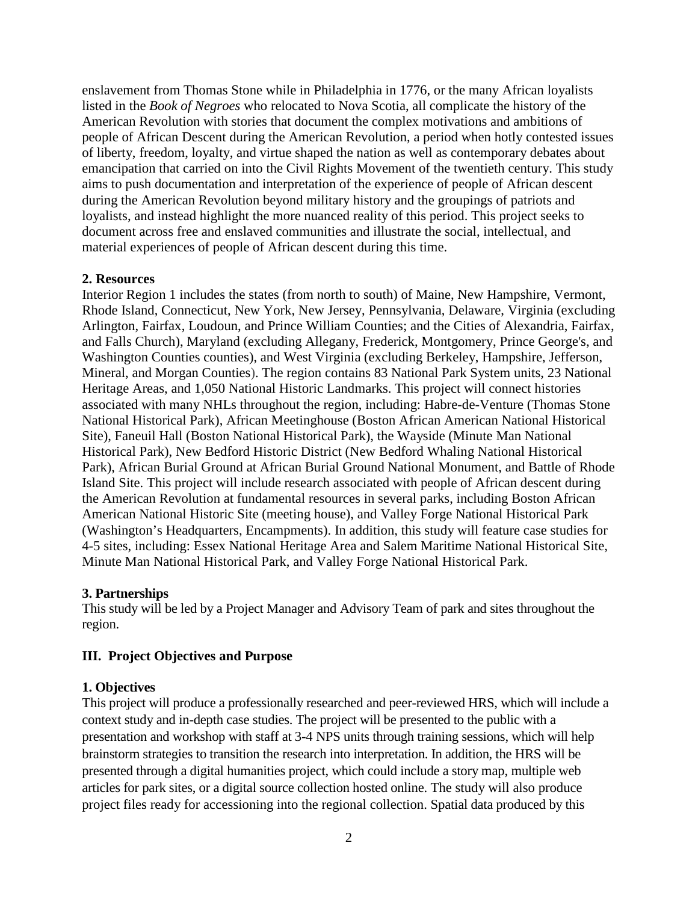enslavement from Thomas Stone while in Philadelphia in 1776, or the many African loyalists listed in the *Book of Negroes* who relocated to Nova Scotia, all complicate the history of the American Revolution with stories that document the complex motivations and ambitions of people of African Descent during the American Revolution, a period when hotly contested issues of liberty, freedom, loyalty, and virtue shaped the nation as well as contemporary debates about emancipation that carried on into the Civil Rights Movement of the twentieth century. This study aims to push documentation and interpretation of the experience of people of African descent during the American Revolution beyond military history and the groupings of patriots and loyalists, and instead highlight the more nuanced reality of this period. This project seeks to document across free and enslaved communities and illustrate the social, intellectual, and material experiences of people of African descent during this time.

### **2. Resources**

Interior Region 1 includes the states (from north to south) of Maine, New Hampshire, Vermont, Rhode Island, Connecticut, New York, New Jersey, Pennsylvania, Delaware, Virginia (excluding Arlington, Fairfax, Loudoun, and Prince William Counties; and the Cities of Alexandria, Fairfax, and Falls Church), Maryland (excluding Allegany, Frederick, Montgomery, Prince George's, and Washington Counties counties), and West Virginia (excluding Berkeley, Hampshire, Jefferson, Mineral, and Morgan Counties). The region contains 83 National Park System units, 23 National Heritage Areas, and 1,050 National Historic Landmarks. This project will connect histories associated with many NHLs throughout the region, including: Habre-de-Venture (Thomas Stone National Historical Park), African Meetinghouse (Boston African American National Historical Site), Faneuil Hall (Boston National Historical Park), the Wayside (Minute Man National Historical Park), New Bedford Historic District (New Bedford Whaling National Historical Park), African Burial Ground at African Burial Ground National Monument, and Battle of Rhode Island Site. This project will include research associated with people of African descent during the American Revolution at fundamental resources in several parks, including Boston African American National Historic Site (meeting house), and Valley Forge National Historical Park (Washington's Headquarters, Encampments). In addition, this study will feature case studies for 4-5 sites, including: Essex National Heritage Area and Salem Maritime National Historical Site, Minute Man National Historical Park, and Valley Forge National Historical Park.

### **3. Partnerships**

This study will be led by a Project Manager and Advisory Team of park and sites throughout the region.

# **III. Project Objectives and Purpose**

### **1. Objectives**

This project will produce a professionally researched and peer-reviewed HRS, which will include a context study and in-depth case studies. The project will be presented to the public with a presentation and workshop with staff at 3-4 NPS units through training sessions, which will help brainstorm strategies to transition the research into interpretation. In addition, the HRS will be presented through a digital humanities project, which could include a story map, multiple web articles for park sites, or a digital source collection hosted online. The study will also produce project files ready for accessioning into the regional collection. Spatial data produced by this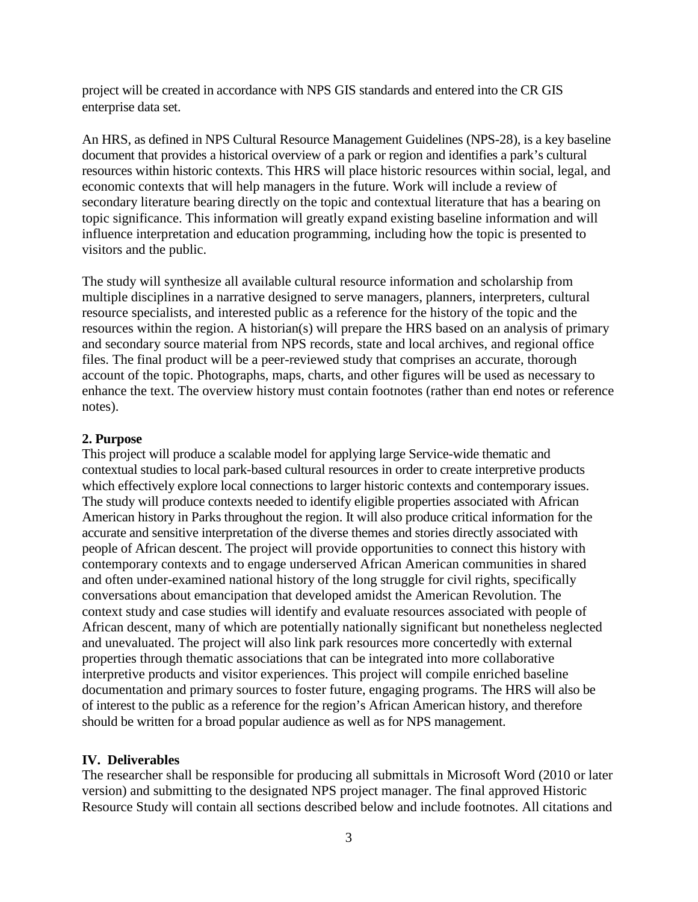project will be created in accordance with NPS GIS standards and entered into the CR GIS enterprise data set.

An HRS, as defined in NPS Cultural Resource Management Guidelines (NPS-28), is a key baseline document that provides a historical overview of a park or region and identifies a park's cultural resources within historic contexts. This HRS will place historic resources within social, legal, and economic contexts that will help managers in the future. Work will include a review of secondary literature bearing directly on the topic and contextual literature that has a bearing on topic significance. This information will greatly expand existing baseline information and will influence interpretation and education programming, including how the topic is presented to visitors and the public.

The study will synthesize all available cultural resource information and scholarship from multiple disciplines in a narrative designed to serve managers, planners, interpreters, cultural resource specialists, and interested public as a reference for the history of the topic and the resources within the region. A historian(s) will prepare the HRS based on an analysis of primary and secondary source material from NPS records, state and local archives, and regional office files. The final product will be a peer-reviewed study that comprises an accurate, thorough account of the topic. Photographs, maps, charts, and other figures will be used as necessary to enhance the text. The overview history must contain footnotes (rather than end notes or reference notes).

### **2. Purpose**

This project will produce a scalable model for applying large Service-wide thematic and contextual studies to local park-based cultural resources in order to create interpretive products which effectively explore local connections to larger historic contexts and contemporary issues. The study will produce contexts needed to identify eligible properties associated with African American history in Parks throughout the region. It will also produce critical information for the accurate and sensitive interpretation of the diverse themes and stories directly associated with people of African descent. The project will provide opportunities to connect this history with contemporary contexts and to engage underserved African American communities in shared and often under-examined national history of the long struggle for civil rights, specifically conversations about emancipation that developed amidst the American Revolution. The context study and case studies will identify and evaluate resources associated with people of African descent, many of which are potentially nationally significant but nonetheless neglected and unevaluated. The project will also link park resources more concertedly with external properties through thematic associations that can be integrated into more collaborative interpretive products and visitor experiences. This project will compile enriched baseline documentation and primary sources to foster future, engaging programs. The HRS will also be of interest to the public as a reference for the region's African American history, and therefore should be written for a broad popular audience as well as for NPS management.

### **IV. Deliverables**

The researcher shall be responsible for producing all submittals in Microsoft Word (2010 or later version) and submitting to the designated NPS project manager. The final approved Historic Resource Study will contain all sections described below and include footnotes. All citations and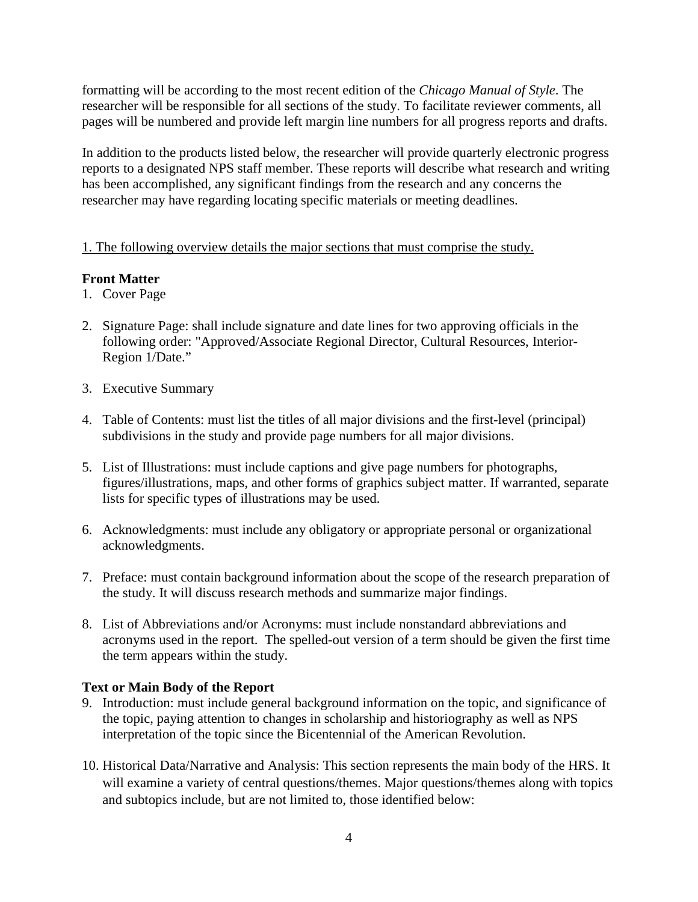formatting will be according to the most recent edition of the *Chicago Manual of Style*. The researcher will be responsible for all sections of the study. To facilitate reviewer comments, all pages will be numbered and provide left margin line numbers for all progress reports and drafts.

In addition to the products listed below, the researcher will provide quarterly electronic progress reports to a designated NPS staff member. These reports will describe what research and writing has been accomplished, any significant findings from the research and any concerns the researcher may have regarding locating specific materials or meeting deadlines.

1. The following overview details the major sections that must comprise the study.

# **Front Matter**

- 1. Cover Page
- 2. Signature Page: shall include signature and date lines for two approving officials in the following order: "Approved/Associate Regional Director, Cultural Resources, Interior-Region 1/Date."
- 3. Executive Summary
- 4. Table of Contents: must list the titles of all major divisions and the first-level (principal) subdivisions in the study and provide page numbers for all major divisions.
- 5. List of Illustrations: must include captions and give page numbers for photographs, figures/illustrations, maps, and other forms of graphics subject matter. If warranted, separate lists for specific types of illustrations may be used.
- 6. Acknowledgments: must include any obligatory or appropriate personal or organizational acknowledgments.
- 7. Preface: must contain background information about the scope of the research preparation of the study. It will discuss research methods and summarize major findings.
- 8. List of Abbreviations and/or Acronyms: must include nonstandard abbreviations and acronyms used in the report. The spelled-out version of a term should be given the first time the term appears within the study.

# **Text or Main Body of the Report**

- 9. Introduction: must include general background information on the topic, and significance of the topic, paying attention to changes in scholarship and historiography as well as NPS interpretation of the topic since the Bicentennial of the American Revolution.
- 10. Historical Data/Narrative and Analysis: This section represents the main body of the HRS. It will examine a variety of central questions/themes. Major questions/themes along with topics and subtopics include, but are not limited to, those identified below: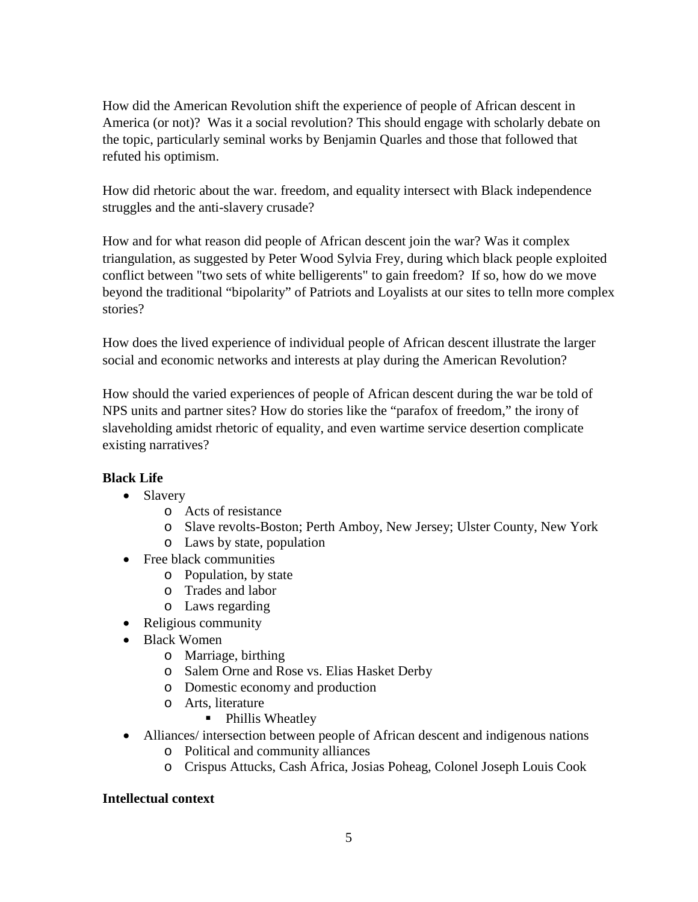How did the American Revolution shift the experience of people of African descent in America (or not)? Was it a social revolution? This should engage with scholarly debate on the topic, particularly seminal works by Benjamin Quarles and those that followed that refuted his optimism.

How did rhetoric about the war. freedom, and equality intersect with Black independence struggles and the anti-slavery crusade?

How and for what reason did people of African descent join the war? Was it complex triangulation, as suggested by Peter Wood Sylvia Frey, during which black people exploited conflict between "two sets of white belligerents" to gain freedom? If so, how do we move beyond the traditional "bipolarity" of Patriots and Loyalists at our sites to telln more complex stories?

How does the lived experience of individual people of African descent illustrate the larger social and economic networks and interests at play during the American Revolution?

How should the varied experiences of people of African descent during the war be told of NPS units and partner sites? How do stories like the "parafox of freedom," the irony of slaveholding amidst rhetoric of equality, and even wartime service desertion complicate existing narratives?

# **Black Life**

- Slavery
	- o Acts of resistance
	- o Slave revolts-Boston; Perth Amboy, New Jersey; Ulster County, New York
	- o Laws by state, population
- Free black communities
	- o Population, by state
	- o Trades and labor
	- o Laws regarding
- Religious community
- Black Women
	- o Marriage, birthing
	- o Salem Orne and Rose vs. Elias Hasket Derby
	- o Domestic economy and production
	- o Arts, literature
		- Phillis Wheatley
- Alliances/ intersection between people of African descent and indigenous nations
	- o Political and community alliances
	- o Crispus Attucks, Cash Africa, Josias Poheag, Colonel Joseph Louis Cook

### **Intellectual context**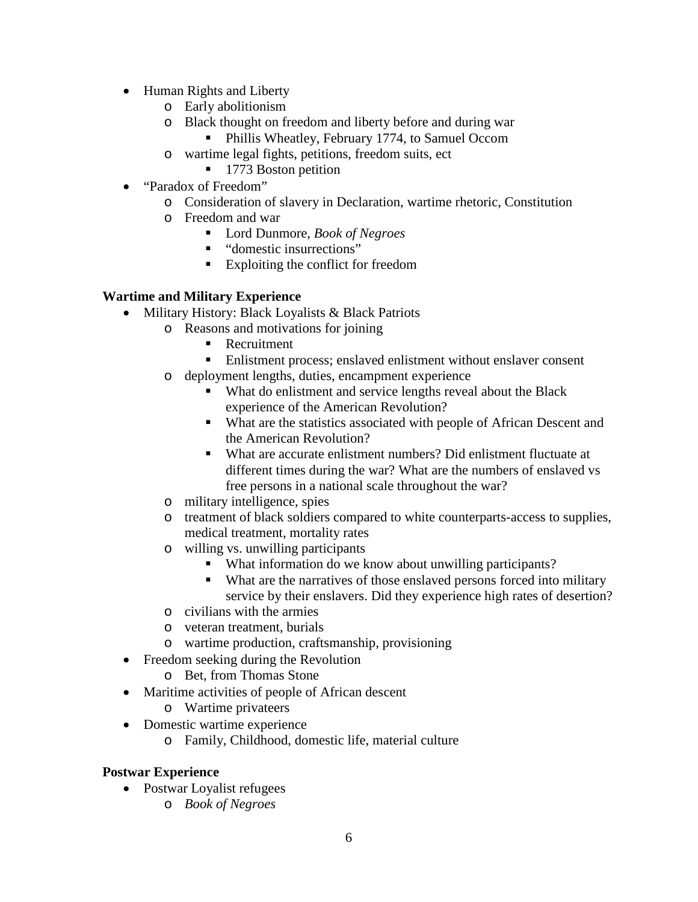- Human Rights and Liberty
	- o Early abolitionism
	- o Black thought on freedom and liberty before and during war
		- **Phillis Wheatley, February 1774, to Samuel Occom**
	- o wartime legal fights, petitions, freedom suits, ect
		- 1773 Boston petition
- "Paradox of Freedom"
	- o Consideration of slavery in Declaration, wartime rhetoric, Constitution
	- o Freedom and war
		- Lord Dunmore, *Book of Negroes*
		- "domestic insurrections"
		- Exploiting the conflict for freedom

# **Wartime and Military Experience**

- Military History: Black Loyalists & Black Patriots
	- o Reasons and motivations for joining
		- Recruitment
		- Enlistment process; enslaved enlistment without enslaver consent
	- o deployment lengths, duties, encampment experience
		- What do enlistment and service lengths reveal about the Black experience of the American Revolution?
		- What are the statistics associated with people of African Descent and the American Revolution?
		- What are accurate enlistment numbers? Did enlistment fluctuate at different times during the war? What are the numbers of enslaved vs free persons in a national scale throughout the war?
	- o military intelligence, spies
	- o treatment of black soldiers compared to white counterparts-access to supplies, medical treatment, mortality rates
	- o willing vs. unwilling participants
		- What information do we know about unwilling participants?
		- What are the narratives of those enslaved persons forced into military service by their enslavers. Did they experience high rates of desertion?
	- o civilians with the armies
	- o veteran treatment, burials
	- o wartime production, craftsmanship, provisioning
- Freedom seeking during the Revolution
	- o Bet, from Thomas Stone
- Maritime activities of people of African descent
	- o Wartime privateers
- Domestic wartime experience
	- o Family, Childhood, domestic life, material culture

# **Postwar Experience**

- Postwar Loyalist refugees
	- o *Book of Negroes*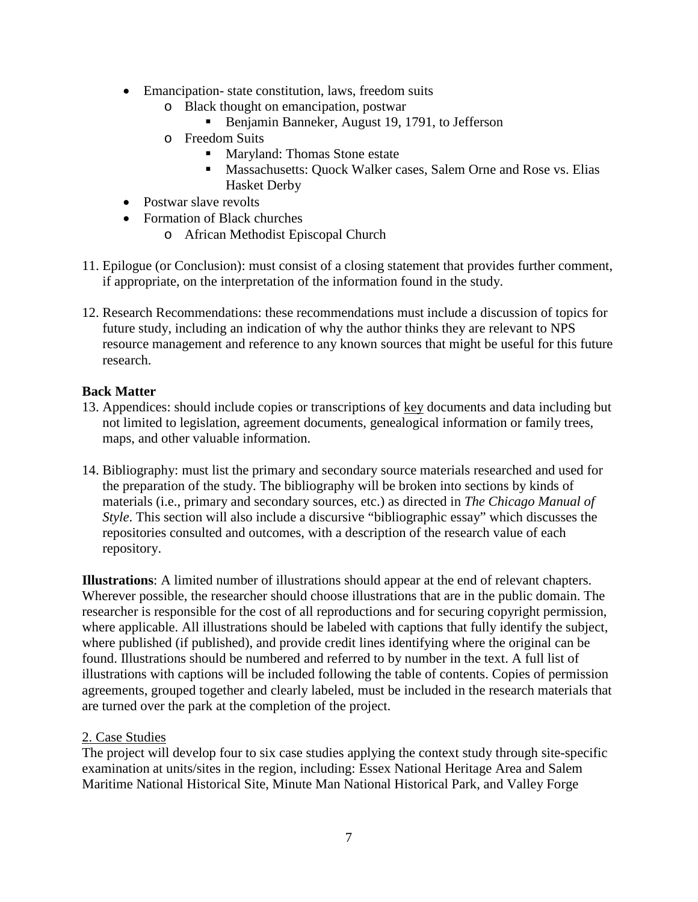- Emancipation-state constitution, laws, freedom suits
	- o Black thought on emancipation, postwar
		- Benjamin Banneker, August 19, 1791, to Jefferson
	- o Freedom Suits
		- Maryland: Thomas Stone estate
		- **Massachusetts: Quock Walker cases, Salem Orne and Rose vs. Elias** Hasket Derby
- Postwar slave revolts
- Formation of Black churches
	- o African Methodist Episcopal Church
- 11. Epilogue (or Conclusion): must consist of a closing statement that provides further comment, if appropriate, on the interpretation of the information found in the study.
- 12. Research Recommendations: these recommendations must include a discussion of topics for future study, including an indication of why the author thinks they are relevant to NPS resource management and reference to any known sources that might be useful for this future research.

### **Back Matter**

- 13. Appendices: should include copies or transcriptions of key documents and data including but not limited to legislation, agreement documents, genealogical information or family trees, maps, and other valuable information.
- 14. Bibliography: must list the primary and secondary source materials researched and used for the preparation of the study. The bibliography will be broken into sections by kinds of materials (i.e., primary and secondary sources, etc.) as directed in *The Chicago Manual of Style*. This section will also include a discursive "bibliographic essay" which discusses the repositories consulted and outcomes, with a description of the research value of each repository.

**Illustrations**: A limited number of illustrations should appear at the end of relevant chapters. Wherever possible, the researcher should choose illustrations that are in the public domain. The researcher is responsible for the cost of all reproductions and for securing copyright permission, where applicable. All illustrations should be labeled with captions that fully identify the subject, where published (if published), and provide credit lines identifying where the original can be found. Illustrations should be numbered and referred to by number in the text. A full list of illustrations with captions will be included following the table of contents. Copies of permission agreements, grouped together and clearly labeled, must be included in the research materials that are turned over the park at the completion of the project.

### 2. Case Studies

The project will develop four to six case studies applying the context study through site-specific examination at units/sites in the region, including: Essex National Heritage Area and Salem Maritime National Historical Site, Minute Man National Historical Park, and Valley Forge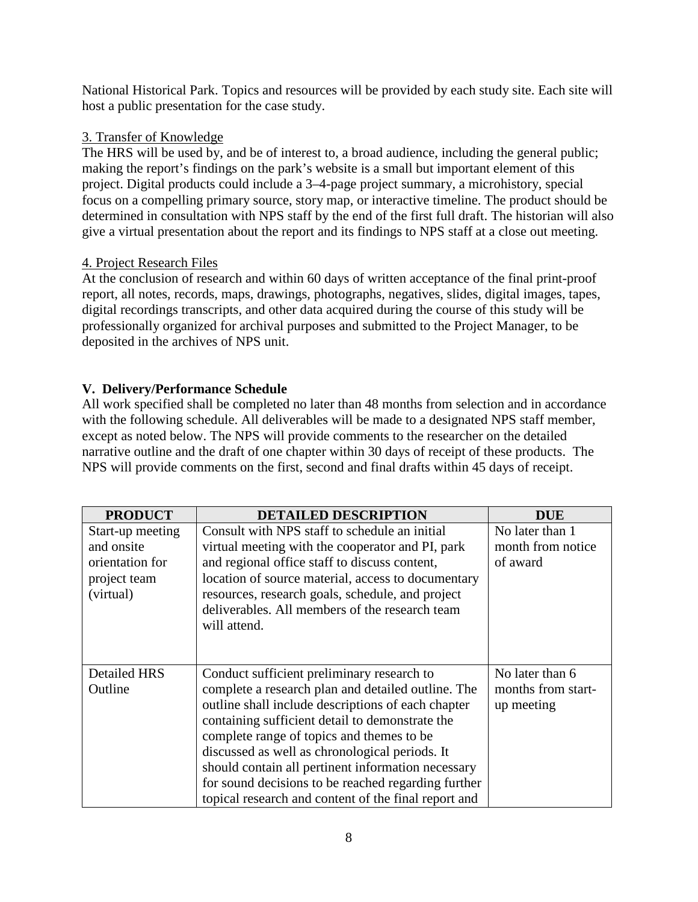National Historical Park. Topics and resources will be provided by each study site. Each site will host a public presentation for the case study.

# 3. Transfer of Knowledge

The HRS will be used by, and be of interest to, a broad audience, including the general public; making the report's findings on the park's website is a small but important element of this project. Digital products could include a 3–4-page project summary, a microhistory, special focus on a compelling primary source, story map, or interactive timeline. The product should be determined in consultation with NPS staff by the end of the first full draft. The historian will also give a virtual presentation about the report and its findings to NPS staff at a close out meeting.

# 4. Project Research Files

At the conclusion of research and within 60 days of written acceptance of the final print-proof report, all notes, records, maps, drawings, photographs, negatives, slides, digital images, tapes, digital recordings transcripts, and other data acquired during the course of this study will be professionally organized for archival purposes and submitted to the Project Manager, to be deposited in the archives of NPS unit.

# **V. Delivery/Performance Schedule**

All work specified shall be completed no later than 48 months from selection and in accordance with the following schedule. All deliverables will be made to a designated NPS staff member, except as noted below. The NPS will provide comments to the researcher on the detailed narrative outline and the draft of one chapter within 30 days of receipt of these products. The NPS will provide comments on the first, second and final drafts within 45 days of receipt.

| <b>PRODUCT</b>      | <b>DETAILED DESCRIPTION</b>                          | <b>DUE</b>         |
|---------------------|------------------------------------------------------|--------------------|
| Start-up meeting    | Consult with NPS staff to schedule an initial        | No later than 1    |
| and onsite          | virtual meeting with the cooperator and PI, park     | month from notice  |
| orientation for     | and regional office staff to discuss content,        | of award           |
| project team        | location of source material, access to documentary   |                    |
| (virtual)           | resources, research goals, schedule, and project     |                    |
|                     | deliverables. All members of the research team       |                    |
|                     | will attend.                                         |                    |
|                     |                                                      |                    |
|                     |                                                      |                    |
| <b>Detailed HRS</b> | Conduct sufficient preliminary research to           | No later than 6    |
| Outline             | complete a research plan and detailed outline. The   | months from start- |
|                     | outline shall include descriptions of each chapter   | up meeting         |
|                     | containing sufficient detail to demonstrate the      |                    |
|                     | complete range of topics and themes to be            |                    |
|                     | discussed as well as chronological periods. It       |                    |
|                     | should contain all pertinent information necessary   |                    |
|                     | for sound decisions to be reached regarding further  |                    |
|                     | topical research and content of the final report and |                    |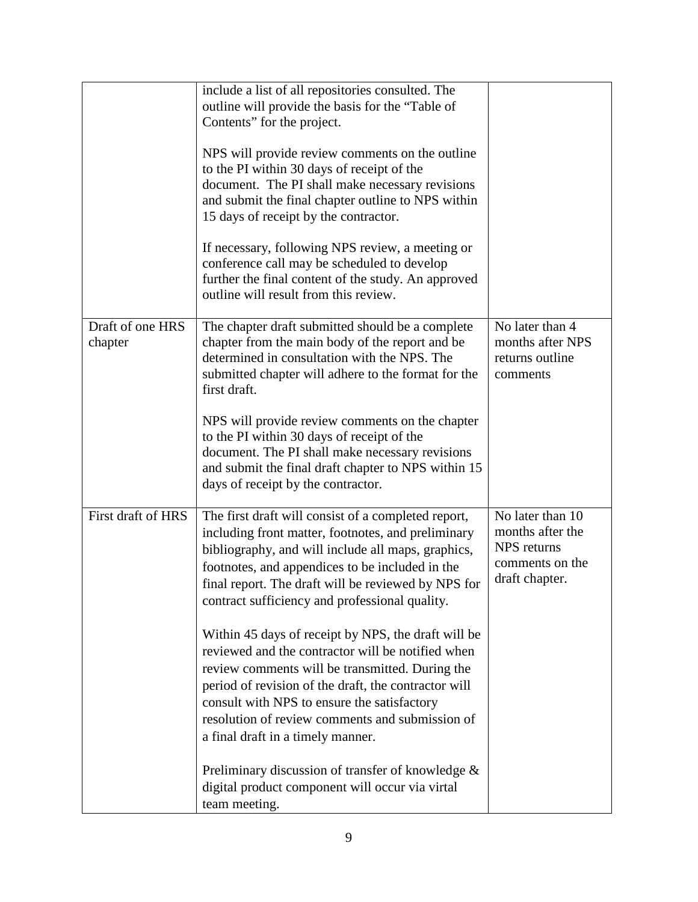|                             | include a list of all repositories consulted. The<br>outline will provide the basis for the "Table of<br>Contents" for the project.<br>NPS will provide review comments on the outline<br>to the PI within 30 days of receipt of the<br>document. The PI shall make necessary revisions<br>and submit the final chapter outline to NPS within<br>15 days of receipt by the contractor.<br>If necessary, following NPS review, a meeting or<br>conference call may be scheduled to develop<br>further the final content of the study. An approved<br>outline will result from this review.                                                                                                                                                                                                                             |                                                                                                 |
|-----------------------------|-----------------------------------------------------------------------------------------------------------------------------------------------------------------------------------------------------------------------------------------------------------------------------------------------------------------------------------------------------------------------------------------------------------------------------------------------------------------------------------------------------------------------------------------------------------------------------------------------------------------------------------------------------------------------------------------------------------------------------------------------------------------------------------------------------------------------|-------------------------------------------------------------------------------------------------|
| Draft of one HRS<br>chapter | The chapter draft submitted should be a complete<br>chapter from the main body of the report and be<br>determined in consultation with the NPS. The<br>submitted chapter will adhere to the format for the<br>first draft.<br>NPS will provide review comments on the chapter<br>to the PI within 30 days of receipt of the<br>document. The PI shall make necessary revisions<br>and submit the final draft chapter to NPS within 15<br>days of receipt by the contractor.                                                                                                                                                                                                                                                                                                                                           | No later than 4<br>months after NPS<br>returns outline<br>comments                              |
| First draft of HRS          | The first draft will consist of a completed report,<br>including front matter, footnotes, and preliminary<br>bibliography, and will include all maps, graphics,<br>footnotes, and appendices to be included in the<br>final report. The draft will be reviewed by NPS for<br>contract sufficiency and professional quality.<br>Within 45 days of receipt by NPS, the draft will be<br>reviewed and the contractor will be notified when<br>review comments will be transmitted. During the<br>period of revision of the draft, the contractor will<br>consult with NPS to ensure the satisfactory<br>resolution of review comments and submission of<br>a final draft in a timely manner.<br>Preliminary discussion of transfer of knowledge $\&$<br>digital product component will occur via virtal<br>team meeting. | No later than 10<br>months after the<br><b>NPS</b> returns<br>comments on the<br>draft chapter. |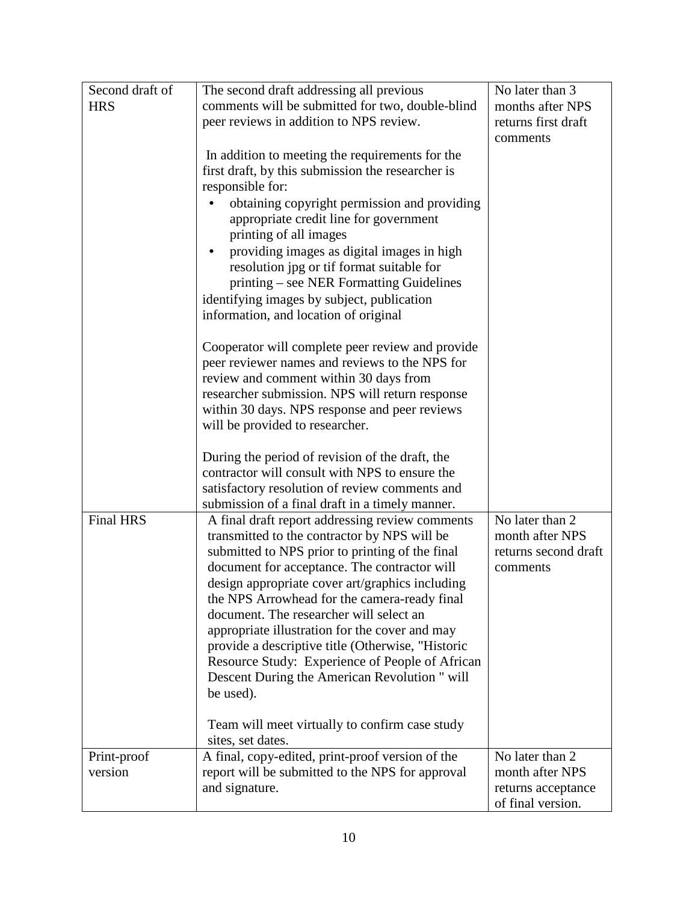| Second draft of  | The second draft addressing all previous                                                        | No later than 3      |
|------------------|-------------------------------------------------------------------------------------------------|----------------------|
| <b>HRS</b>       | comments will be submitted for two, double-blind                                                | months after NPS     |
|                  | peer reviews in addition to NPS review.                                                         | returns first draft  |
|                  |                                                                                                 | comments             |
|                  | In addition to meeting the requirements for the                                                 |                      |
|                  | first draft, by this submission the researcher is                                               |                      |
|                  | responsible for:                                                                                |                      |
|                  | obtaining copyright permission and providing                                                    |                      |
|                  | appropriate credit line for government                                                          |                      |
|                  | printing of all images                                                                          |                      |
|                  | providing images as digital images in high                                                      |                      |
|                  | resolution jpg or tif format suitable for                                                       |                      |
|                  | printing – see NER Formatting Guidelines                                                        |                      |
|                  | identifying images by subject, publication                                                      |                      |
|                  | information, and location of original                                                           |                      |
|                  | Cooperator will complete peer review and provide                                                |                      |
|                  | peer reviewer names and reviews to the NPS for                                                  |                      |
|                  | review and comment within 30 days from                                                          |                      |
|                  | researcher submission. NPS will return response                                                 |                      |
|                  | within 30 days. NPS response and peer reviews                                                   |                      |
|                  | will be provided to researcher.                                                                 |                      |
|                  |                                                                                                 |                      |
|                  | During the period of revision of the draft, the                                                 |                      |
|                  | contractor will consult with NPS to ensure the                                                  |                      |
|                  | satisfactory resolution of review comments and                                                  |                      |
| <b>Final HRS</b> | submission of a final draft in a timely manner.                                                 | No later than 2      |
|                  | A final draft report addressing review comments<br>transmitted to the contractor by NPS will be | month after NPS      |
|                  | submitted to NPS prior to printing of the final                                                 | returns second draft |
|                  | document for acceptance. The contractor will                                                    | comments             |
|                  | design appropriate cover art/graphics including                                                 |                      |
|                  | the NPS Arrowhead for the camera-ready final                                                    |                      |
|                  | document. The researcher will select an                                                         |                      |
|                  | appropriate illustration for the cover and may                                                  |                      |
|                  | provide a descriptive title (Otherwise, "Historic                                               |                      |
|                  | Resource Study: Experience of People of African                                                 |                      |
|                  | Descent During the American Revolution " will                                                   |                      |
|                  | be used).                                                                                       |                      |
|                  |                                                                                                 |                      |
|                  | Team will meet virtually to confirm case study                                                  |                      |
| Print-proof      | sites, set dates.<br>A final, copy-edited, print-proof version of the                           | No later than 2      |
| version          | report will be submitted to the NPS for approval                                                | month after NPS      |
|                  | and signature.                                                                                  | returns acceptance   |
|                  |                                                                                                 | of final version.    |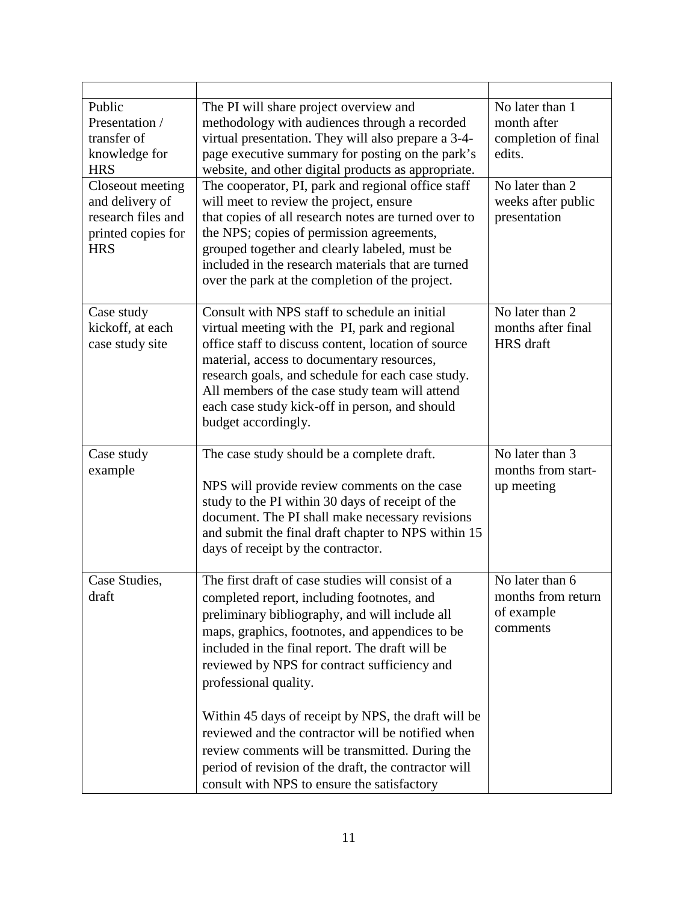| Public<br>Presentation /<br>transfer of<br>knowledge for<br><b>HRS</b><br>Closeout meeting | The PI will share project overview and<br>methodology with audiences through a recorded<br>virtual presentation. They will also prepare a 3-4-<br>page executive summary for posting on the park's<br>website, and other digital products as appropriate.<br>The cooperator, PI, park and regional office staff                                                                      | No later than 1<br>month after<br>completion of final<br>edits.<br>No later than 2 |
|--------------------------------------------------------------------------------------------|--------------------------------------------------------------------------------------------------------------------------------------------------------------------------------------------------------------------------------------------------------------------------------------------------------------------------------------------------------------------------------------|------------------------------------------------------------------------------------|
| and delivery of<br>research files and<br>printed copies for<br><b>HRS</b>                  | will meet to review the project, ensure<br>that copies of all research notes are turned over to<br>the NPS; copies of permission agreements,<br>grouped together and clearly labeled, must be<br>included in the research materials that are turned<br>over the park at the completion of the project.                                                                               | weeks after public<br>presentation                                                 |
| Case study<br>kickoff, at each<br>case study site                                          | Consult with NPS staff to schedule an initial<br>virtual meeting with the PI, park and regional<br>office staff to discuss content, location of source<br>material, access to documentary resources,<br>research goals, and schedule for each case study.<br>All members of the case study team will attend<br>each case study kick-off in person, and should<br>budget accordingly. | No later than 2<br>months after final<br>HRS draft                                 |
| Case study<br>example                                                                      | The case study should be a complete draft.<br>NPS will provide review comments on the case<br>study to the PI within 30 days of receipt of the<br>document. The PI shall make necessary revisions<br>and submit the final draft chapter to NPS within 15<br>days of receipt by the contractor.                                                                                       | No later than 3<br>months from start-<br>up meeting                                |
| Case Studies,<br>draft                                                                     | The first draft of case studies will consist of a<br>completed report, including footnotes, and<br>preliminary bibliography, and will include all<br>maps, graphics, footnotes, and appendices to be<br>included in the final report. The draft will be<br>reviewed by NPS for contract sufficiency and<br>professional quality.                                                     | No later than 6<br>months from return<br>of example<br>comments                    |
|                                                                                            | Within 45 days of receipt by NPS, the draft will be<br>reviewed and the contractor will be notified when<br>review comments will be transmitted. During the<br>period of revision of the draft, the contractor will<br>consult with NPS to ensure the satisfactory                                                                                                                   |                                                                                    |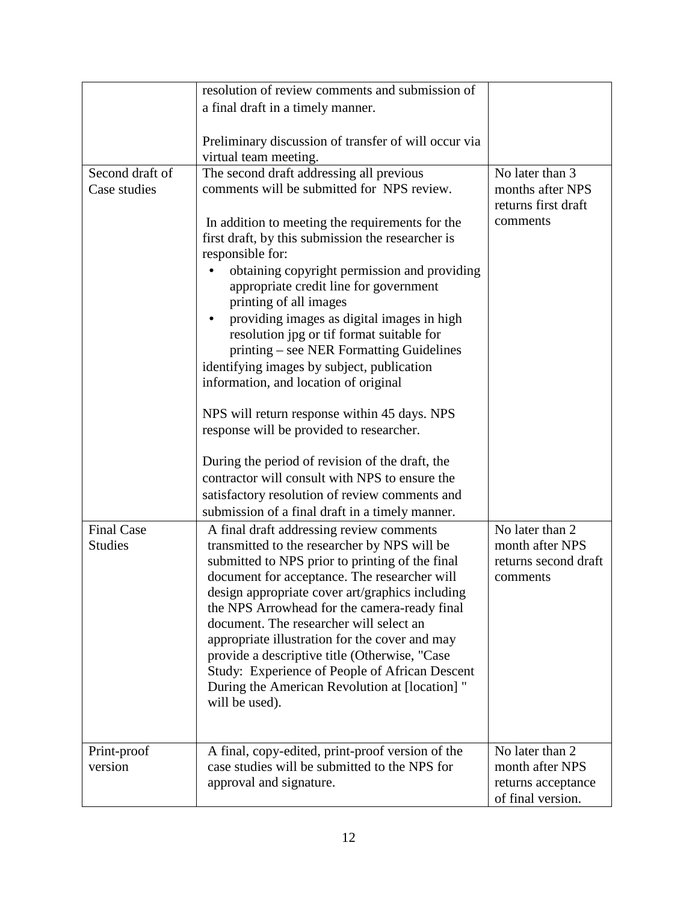|                   | resolution of review comments and submission of           |                      |
|-------------------|-----------------------------------------------------------|----------------------|
|                   | a final draft in a timely manner.                         |                      |
|                   |                                                           |                      |
|                   | Preliminary discussion of transfer of will occur via      |                      |
|                   | virtual team meeting.                                     |                      |
| Second draft of   | The second draft addressing all previous                  | No later than 3      |
| Case studies      | comments will be submitted for NPS review.                | months after NPS     |
|                   |                                                           | returns first draft  |
|                   | In addition to meeting the requirements for the           | comments             |
|                   | first draft, by this submission the researcher is         |                      |
|                   | responsible for:                                          |                      |
|                   | obtaining copyright permission and providing<br>$\bullet$ |                      |
|                   | appropriate credit line for government                    |                      |
|                   | printing of all images                                    |                      |
|                   | providing images as digital images in high                |                      |
|                   | resolution jpg or tif format suitable for                 |                      |
|                   | printing – see NER Formatting Guidelines                  |                      |
|                   | identifying images by subject, publication                |                      |
|                   | information, and location of original                     |                      |
|                   | NPS will return response within 45 days. NPS              |                      |
|                   | response will be provided to researcher.                  |                      |
|                   |                                                           |                      |
|                   | During the period of revision of the draft, the           |                      |
|                   | contractor will consult with NPS to ensure the            |                      |
|                   | satisfactory resolution of review comments and            |                      |
|                   | submission of a final draft in a timely manner.           |                      |
| <b>Final Case</b> | A final draft addressing review comments                  | No later than 2      |
| <b>Studies</b>    | transmitted to the researcher by NPS will be              | month after NPS      |
|                   | submitted to NPS prior to printing of the final           | returns second draft |
|                   | document for acceptance. The researcher will              | comments             |
|                   | design appropriate cover art/graphics including           |                      |
|                   | the NPS Arrowhead for the camera-ready final              |                      |
|                   | document. The researcher will select an                   |                      |
|                   | appropriate illustration for the cover and may            |                      |
|                   | provide a descriptive title (Otherwise, "Case             |                      |
|                   | Study: Experience of People of African Descent            |                      |
|                   | During the American Revolution at [location] "            |                      |
|                   | will be used).                                            |                      |
|                   |                                                           |                      |
| Print-proof       | A final, copy-edited, print-proof version of the          | No later than 2      |
| version           | case studies will be submitted to the NPS for             | month after NPS      |
|                   | approval and signature.                                   | returns acceptance   |
|                   |                                                           | of final version.    |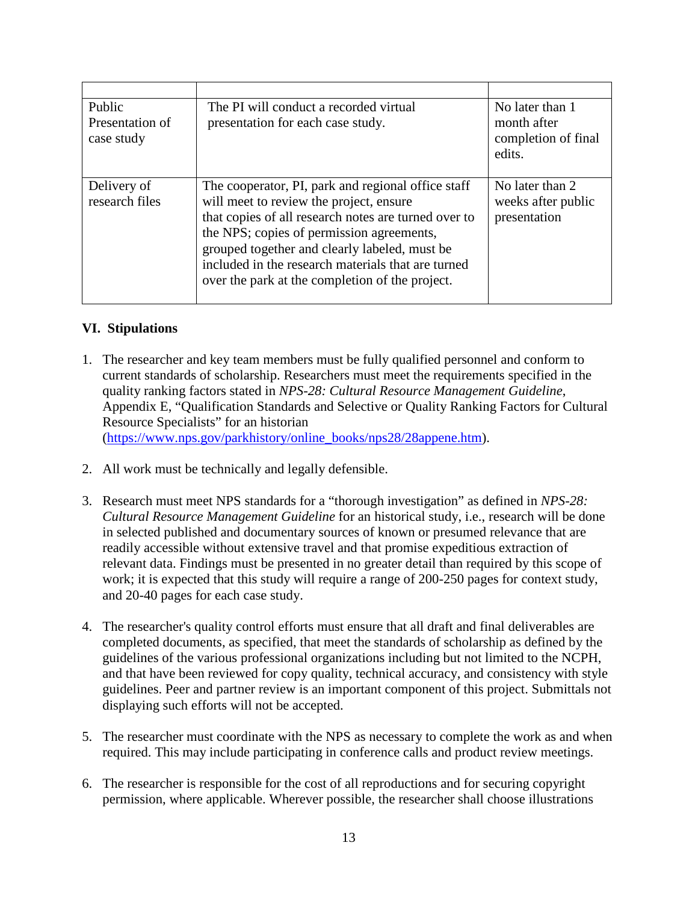| Public<br>Presentation of<br>case study | The PI will conduct a recorded virtual<br>presentation for each case study.                                                                                                                                                                                                                                                                                  | No later than 1<br>month after<br>completion of final<br>edits. |
|-----------------------------------------|--------------------------------------------------------------------------------------------------------------------------------------------------------------------------------------------------------------------------------------------------------------------------------------------------------------------------------------------------------------|-----------------------------------------------------------------|
| Delivery of<br>research files           | The cooperator, PI, park and regional office staff<br>will meet to review the project, ensure<br>that copies of all research notes are turned over to<br>the NPS; copies of permission agreements,<br>grouped together and clearly labeled, must be<br>included in the research materials that are turned<br>over the park at the completion of the project. | No later than 2<br>weeks after public<br>presentation           |

# **VI. Stipulations**

- 1. The researcher and key team members must be fully qualified personnel and conform to current standards of scholarship. Researchers must meet the requirements specified in the quality ranking factors stated in *NPS-28: Cultural Resource Management Guideline*, Appendix E, "Qualification Standards and Selective or Quality Ranking Factors for Cultural Resource Specialists" for an historian [\(https://www.nps.gov/parkhistory/online\\_books/nps28/28appene.htm\)](https://www.nps.gov/parkhistory/online_books/nps28/28appene.htm).
- 2. All work must be technically and legally defensible.
- 3. Research must meet NPS standards for a "thorough investigation" as defined in *NPS-28: Cultural Resource Management Guideline* for an historical study, i.e., research will be done in selected published and documentary sources of known or presumed relevance that are readily accessible without extensive travel and that promise expeditious extraction of relevant data. Findings must be presented in no greater detail than required by this scope of work; it is expected that this study will require a range of 200-250 pages for context study, and 20-40 pages for each case study.
- 4. The researcher's quality control efforts must ensure that all draft and final deliverables are completed documents, as specified, that meet the standards of scholarship as defined by the guidelines of the various professional organizations including but not limited to the NCPH, and that have been reviewed for copy quality, technical accuracy, and consistency with style guidelines. Peer and partner review is an important component of this project. Submittals not displaying such efforts will not be accepted.
- 5. The researcher must coordinate with the NPS as necessary to complete the work as and when required. This may include participating in conference calls and product review meetings.
- 6. The researcher is responsible for the cost of all reproductions and for securing copyright permission, where applicable. Wherever possible, the researcher shall choose illustrations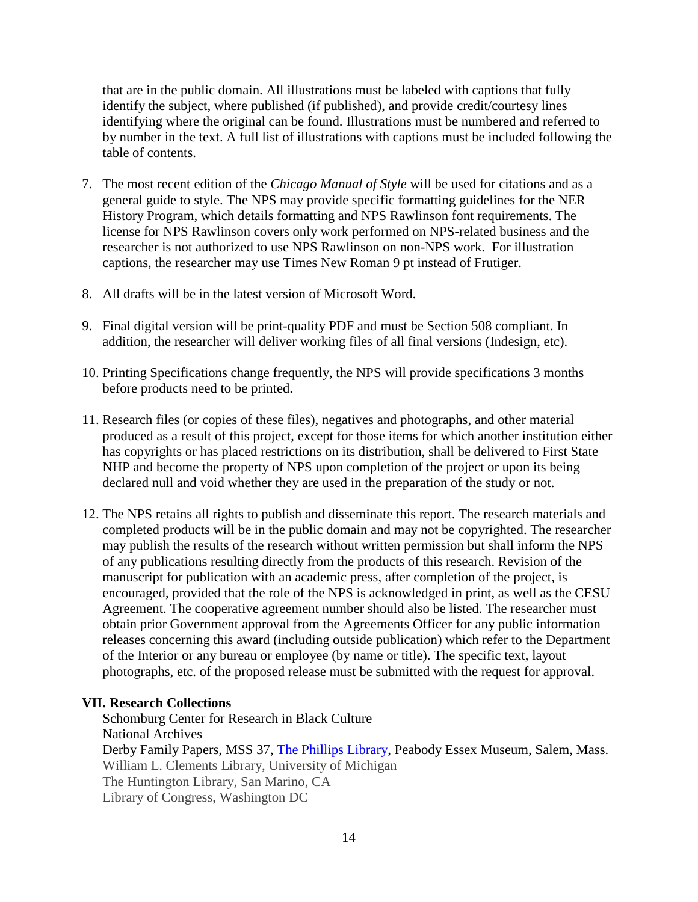that are in the public domain. All illustrations must be labeled with captions that fully identify the subject, where published (if published), and provide credit/courtesy lines identifying where the original can be found. Illustrations must be numbered and referred to by number in the text. A full list of illustrations with captions must be included following the table of contents.

- 7. The most recent edition of the *Chicago Manual of Style* will be used for citations and as a general guide to style. The NPS may provide specific formatting guidelines for the NER History Program, which details formatting and NPS Rawlinson font requirements. The license for NPS Rawlinson covers only work performed on NPS-related business and the researcher is not authorized to use NPS Rawlinson on non-NPS work. For illustration captions, the researcher may use Times New Roman 9 pt instead of Frutiger.
- 8. All drafts will be in the latest version of Microsoft Word.
- 9. Final digital version will be print-quality PDF and must be Section 508 compliant. In addition, the researcher will deliver working files of all final versions (Indesign, etc).
- 10. Printing Specifications change frequently, the NPS will provide specifications 3 months before products need to be printed.
- 11. Research files (or copies of these files), negatives and photographs, and other material produced as a result of this project, except for those items for which another institution either has copyrights or has placed restrictions on its distribution, shall be delivered to First State NHP and become the property of NPS upon completion of the project or upon its being declared null and void whether they are used in the preparation of the study or not.
- 12. The NPS retains all rights to publish and disseminate this report. The research materials and completed products will be in the public domain and may not be copyrighted. The researcher may publish the results of the research without written permission but shall inform the NPS of any publications resulting directly from the products of this research. Revision of the manuscript for publication with an academic press, after completion of the project, is encouraged, provided that the role of the NPS is acknowledged in print, as well as the CESU Agreement. The cooperative agreement number should also be listed. The researcher must obtain prior Government approval from the Agreements Officer for any public information releases concerning this award (including outside publication) which refer to the Department of the Interior or any bureau or employee (by name or title). The specific text, layout photographs, etc. of the proposed release must be submitted with the request for approval.

#### **VII. Research Collections**

Schomburg Center for Research in Black Culture National Archives Derby Family Papers, MSS 37, [The Phillips Library,](https://www.pem.org/visit/library) Peabody Essex Museum, Salem, Mass. William L. Clements Library, University of Michigan The Huntington Library, San Marino, CA Library of Congress, Washington DC